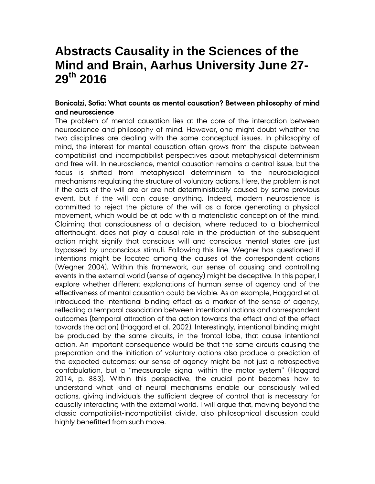# **Abstracts Causality in the Sciences of the Mind and Brain, Aarhus University June 27- 29th 2016**

## **Bonicalzi, Sofia: What counts as mental causation? Between philosophy of mind and neuroscience**

The problem of mental causation lies at the core of the interaction between neuroscience and philosophy of mind. However, one might doubt whether the two disciplines are dealing with the same conceptual issues. In philosophy of mind, the interest for mental causation often grows from the dispute between compatibilist and incompatibilist perspectives about metaphysical determinism and free will. In neuroscience, mental causation remains a central issue, but the focus is shifted from metaphysical determinism to the neurobiological mechanisms regulating the structure of voluntary actions. Here, the problem is not if the acts of the will are or are not deterministically caused by some previous event, but if the will can cause anything. Indeed, modern neuroscience is committed to reject the picture of the will as a force generating a physical movement, which would be at odd with a materialistic conception of the mind. Claiming that consciousness of a decision, where reduced to a biochemical afterthought, does not play a causal role in the production of the subsequent action might signify that conscious will and conscious mental states are just bypassed by unconscious stimuli. Following this line, Wegner has questioned if intentions might be located among the causes of the correspondent actions (Wegner 2004). Within this framework, our sense of causing and controlling events in the external world (sense of agency) might be deceptive. In this paper, I explore whether different explanations of human sense of agency and of the effectiveness of mental causation could be viable. As an example, Haggard et al. introduced the intentional binding effect as a marker of the sense of agency, reflecting a temporal association between intentional actions and correspondent outcomes (temporal attraction of the action towards the effect and of the effect towards the action) (Haggard et al. 2002). Interestingly, intentional binding might be produced by the same circuits, in the frontal lobe, that cause intentional action. An important consequence would be that the same circuits causing the preparation and the initiation of voluntary actions also produce a prediction of the expected outcomes: our sense of agency might be not just a retrospective confabulation, but a "measurable signal within the motor system" (Haggard 2014, p. 883). Within this perspective, the crucial point becomes how to understand what kind of neural mechanisms enable our consciously willed actions, giving individuals the sufficient degree of control that is necessary for causally interacting with the external world. I will argue that, moving beyond the classic compatibilist-incompatibilist divide, also philosophical discussion could highly benefitted from such move.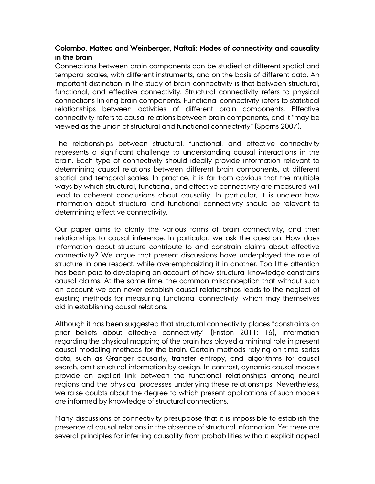# **Colombo, Matteo and Weinberger, Naftali: Modes of connectivity and causality in the brain**

Connections between brain components can be studied at different spatial and temporal scales, with different instruments, and on the basis of different data. An important distinction in the study of brain connectivity is that between structural, functional, and effective connectivity. Structural connectivity refers to physical connections linking brain components. Functional connectivity refers to statistical relationships between activities of different brain components. Effective connectivity refers to causal relations between brain components, and it "may be viewed as the union of structural and functional connectivity" (Sporns 2007).

The relationships between structural, functional, and effective connectivity represents a significant challenge to understanding causal interactions in the brain. Each type of connectivity should ideally provide information relevant to determining causal relations between different brain components, at different spatial and temporal scales. In practice, it is far from obvious that the multiple ways by which structural, functional, and effective connectivity are measured will lead to coherent conclusions about causality. In particular, it is unclear how information about structural and functional connectivity should be relevant to determining effective connectivity.

Our paper aims to clarify the various forms of brain connectivity, and their relationships to causal inference. In particular, we ask the question: How does information about structure contribute to and constrain claims about effective connectivity? We argue that present discussions have underplayed the role of structure in one respect, while overemphasizing it in another. Too little attention has been paid to developing an account of how structural knowledge constrains causal claims. At the same time, the common misconception that without such an account we can never establish causal relationships leads to the neglect of existing methods for measuring functional connectivity, which may themselves aid in establishing causal relations.

Although it has been suggested that structural connectivity places "constraints on prior beliefs about effective connectivity" (Friston 2011: 16), information regarding the physical mapping of the brain has played a minimal role in present causal modeling methods for the brain. Certain methods relying on time-series data, such as Granger causality, transfer entropy, and algorithms for causal search, omit structural information by design. In contrast, dynamic causal models provide an explicit link between the functional relationships among neural regions and the physical processes underlying these relationships. Nevertheless, we raise doubts about the degree to which present applications of such models are informed by knowledge of structural connections.

Many discussions of connectivity presuppose that it is impossible to establish the presence of causal relations in the absence of structural information. Yet there are several principles for inferring causality from probabilities without explicit appeal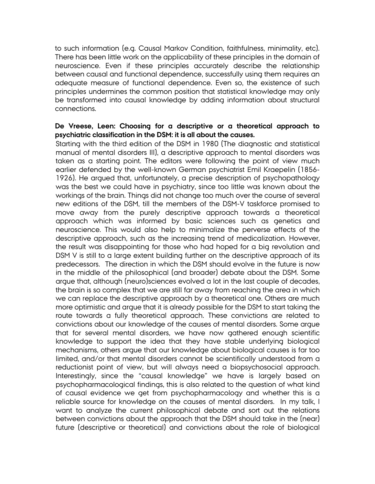to such information (e.g. Causal Markov Condition, faithfulness, minimality, etc). There has been little work on the applicability of these principles in the domain of neuroscience. Even if these principles accurately describe the relationship between causal and functional dependence, successfully using them requires an adequate measure of functional dependence. Even so, the existence of such principles undermines the common position that statistical knowledge may only be transformed into causal knowledge by adding information about structural connections.

# **De Vreese, Leen: Choosing for a descriptive or a theoretical approach to psychiatric classification in the DSM: it is all about the causes.**

Starting with the third edition of the DSM in 1980 (The diagnostic and statistical manual of mental disorders III), a descriptive approach to mental disorders was taken as a starting point. The editors were following the point of view much earlier defended by the well-known German psychiatrist Emil Kraepelin (1856- 1926). He argued that, unfortunately, a precise description of psychopathology was the best we could have in psychiatry, since too little was known about the workings of the brain. Things did not change too much over the course of several new editions of the DSM, till the members of the DSM-V taskforce promised to move away from the purely descriptive approach towards a theoretical approach which was informed by basic sciences such as genetics and neuroscience. This would also help to minimalize the perverse effects of the descriptive approach, such as the increasing trend of medicalization. However, the result was disappointing for those who had hoped for a big revolution and DSM V is still to a large extent building further on the descriptive approach of its predecessors. The direction in which the DSM should evolve in the future is now in the middle of the philosophical (and broader) debate about the DSM. Some argue that, although (neuro)sciences evolved a lot in the last couple of decades, the brain is so complex that we are still far away from reaching the area in which we can replace the descriptive approach by a theoretical one. Others are much more optimistic and argue that it is already possible for the DSM to start taking the route towards a fully theoretical approach. These convictions are related to convictions about our knowledge of the causes of mental disorders. Some argue that for several mental disorders, we have now gathered enough scientific knowledge to support the idea that they have stable underlying biological mechanisms, others argue that our knowledge about biological causes is far too limited, and/or that mental disorders cannot be scientifically understood from a reductionist point of view, but will always need a biopsychosocial approach. Interestingly, since the "causal knowledge" we have is largely based on psychopharmacological findings, this is also related to the question of what kind of causal evidence we get from psychopharmacology and whether this is a reliable source for knowledge on the causes of mental disorders. In my talk, I want to analyze the current philosophical debate and sort out the relations between convictions about the approach that the DSM should take in the (near) future (descriptive or theoretical) and convictions about the role of biological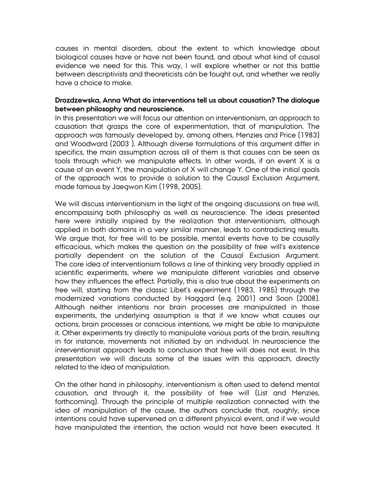causes in mental disorders, about the extent to which knowledge about biological causes have or have not been found, and about what kind of causal evidence we need for this. This way, I will explore whether or not this battle between descriptivists and theoreticists cán be fought out, and whether we really have a choice to make.

## **Drozdzewska, Anna What do interventions tell us about causation? The dialogue between philosophy and neuroscience.**

In this presentation we will focus our attention on interventionism, an approach to causation that grasps the core of experimentation, that of manipulation. The approach was famously developed by, among others, Menzies and Price (1983) and Woodward (2003 ). Although diverse formulations of this argument differ in specifics, the main assumption across all of them is that causes can be seen as tools through which we manipulate effects. In other words, if an event X is a cause of an event Y, the manipulation of X will change Y. One of the initial goals of the approach was to provide a solution to the Causal Exclusion Argument, made famous by Jaegwon Kim (1998, 2005).

We will discuss interventionism in the light of the ongoing discussions on free will, encompassing both philosophy as well as neuroscience. The ideas presented here were initially inspired by the realization that interventionism, although applied in both domains in a very similar manner, leads to contradicting results. We argue that, for free will to be possible, mental events have to be causally efficacious, which makes the question on the possibility of free will's existence partially dependent on the solution of the Causal Exclusion Argument. The core idea of interventionism follows a line of thinking very broadly applied in scientific experiments, where we manipulate different variables and observe how they influences the effect. Partially, this is also true about the experiments on free will, starting from the classic Libet's experiment (1983, 1985) through the modernized variations conducted by Haggard (e.g. 2001) and Soon (2008). Although neither intentions nor brain processes are manipulated in those experiments, the underlying assumption is that if we know what causes our actions, brain processes or conscious intentions, we might be able to manipulate it. Other experiments try directly to manipulate various parts of the brain, resulting in for instance, movements not initiated by an individual. In neuroscience the interventionist approach leads to conclusion that free will does not exist. In this presentation we will discuss some of the issues with this approach, directly related to the idea of manipulation.

On the other hand in philosophy, interventionism is often used to defend mental causation, and through it, the possibility of free will (List and Menzies, forthcoming). Through the principle of multiple realization connected with the idea of manipulation of the cause, the authors conclude that, roughly, since intentions could have supervened on a different physical event, and if we would have manipulated the intention, the action would not have been executed. It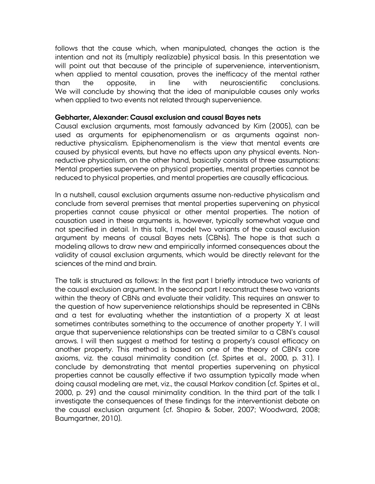follows that the cause which, when manipulated, changes the action is the intention and not its (multiply realizable) physical basis. In this presentation we will point out that because of the principle of supervenience, interventionism, when applied to mental causation, proves the inefficacy of the mental rather than the opposite, in line with neuroscientific conclusions. We will conclude by showing that the idea of manipulable causes only works when applied to two events not related through supervenience.

#### **Gebharter, Alexander: Causal exclusion and causal Bayes nets**

Causal exclusion arguments, most famously advanced by Kim (2005), can be used as arguments for epiphenomenalism or as arguments against nonreductive physicalism. Epiphenomenalism is the view that mental events are caused by physical events, but have no effects upon any physical events. Nonreductive physicalism, on the other hand, basically consists of three assumptions: Mental properties supervene on physical properties, mental properties cannot be reduced to physical properties, and mental properties are causally efficacious.

In a nutshell, causal exclusion arguments assume non-reductive physicalism and conclude from several premises that mental properties supervening on physical properties cannot cause physical or other mental properties. The notion of causation used in these arguments is, however, typically somewhat vague and not specified in detail. In this talk, I model two variants of the causal exclusion argument by means of causal Bayes nets (CBNs). The hope is that such a modeling allows to draw new and empirically informed consequences about the validity of causal exclusion arguments, which would be directly relevant for the sciences of the mind and brain.

The talk is structured as follows: In the first part I briefly introduce two variants of the causal exclusion argument. In the second part I reconstruct these two variants within the theory of CBNs and evaluate their validity. This requires an answer to the question of how supervenience relationships should be represented in CBNs and a test for evaluating whether the instantiation of a property X at least sometimes contributes something to the occurrence of another property Y. I will argue that supervenience relationships can be treated similar to a CBN's causal arrows. I will then suggest a method for testing a property's causal efficacy on another property. This method is based on one of the theory of CBN's core axioms, viz. the causal minimality condition (cf. Spirtes et al., 2000, p. 31). I conclude by demonstrating that mental properties supervening on physical properties cannot be causally effective if two assumption typically made when doing causal modeling are met, viz., the causal Markov condition (cf. Spirtes et al., 2000, p. 29) and the causal minimality condition. In the third part of the talk I investigate the consequences of these findings for the interventionist debate on the causal exclusion argument (cf. Shapiro & Sober, 2007; Woodward, 2008; Baumgartner, 2010).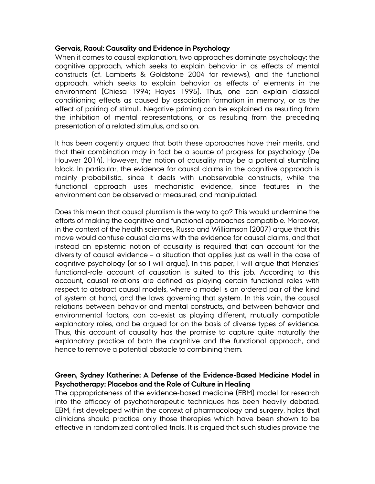#### **Gervais, Raoul: Causality and Evidence in Psychology**

When it comes to causal explanation, two approaches dominate psychology: the cognitive approach, which seeks to explain behavior in as effects of mental constructs (cf. Lamberts & Goldstone 2004 for reviews), and the functional approach, which seeks to explain behavior as effects of elements in the environment (Chiesa 1994; Hayes 1995). Thus, one can explain classical conditioning effects as caused by association formation in memory, or as the effect of pairing of stimuli. Negative priming can be explained as resulting from the inhibition of mental representations, or as resulting from the preceding presentation of a related stimulus, and so on.

It has been cogently argued that both these approaches have their merits, and that their combination may in fact be a source of progress for psychology (De Houwer 2014). However, the notion of causality may be a potential stumbling block. In particular, the evidence for causal claims in the cognitive approach is mainly probabilistic, since it deals with unobservable constructs, while the functional approach uses mechanistic evidence, since features in the environment can be observed or measured, and manipulated.

Does this mean that causal pluralism is the way to go? This would undermine the efforts of making the cognitive and functional approaches compatible. Moreover, in the context of the health sciences, Russo and Williamson (2007) argue that this move would confuse causal claims with the evidence for causal claims, and that instead an epistemic notion of causality is required that can account for the diversity of causal evidence – a situation that applies just as well in the case of cognitive psychology (or so I will argue). In this paper, I will argue that Menzies' functional-role account of causation is suited to this job. According to this account, causal relations are defined as playing certain functional roles with respect to abstract causal models, where a model is an ordered pair of the kind of system at hand, and the laws governing that system. In this vain, the causal relations between behavior and mental constructs, and between behavior and environmental factors, can co-exist as playing different, mutually compatible explanatory roles, and be argued for on the basis of diverse types of evidence. Thus, this account of causality has the promise to capture quite naturally the explanatory practice of both the cognitive and the functional approach, and hence to remove a potential obstacle to combining them.

# **Green, Sydney Katherine: A Defense of the Evidence-Based Medicine Model in Psychotherapy: Placebos and the Role of Culture in Healing**

The appropriateness of the evidence-based medicine (EBM) model for research into the efficacy of psychotherapeutic techniques has been heavily debated. EBM, first developed within the context of pharmacology and surgery, holds that clinicians should practice only those therapies which have been shown to be effective in randomized controlled trials. It is argued that such studies provide the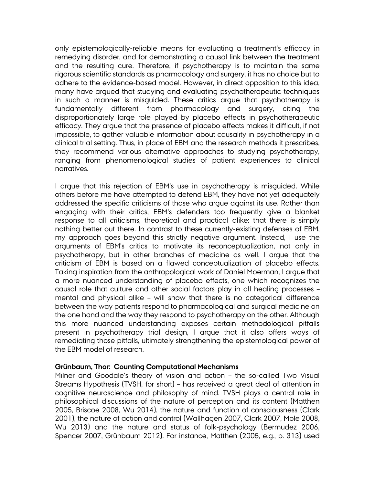only epistemologically-reliable means for evaluating a treatment's efficacy in remedying disorder, and for demonstrating a causal link between the treatment and the resulting cure. Therefore, if psychotherapy is to maintain the same rigorous scientific standards as pharmacology and surgery, it has no choice but to adhere to the evidence-based model. However, in direct opposition to this idea, many have argued that studying and evaluating psychotherapeutic techniques in such a manner is misguided. These critics argue that psychotherapy is fundamentally different from pharmacology and surgery, citing the disproportionately large role played by placebo effects in psychotherapeutic efficacy. They argue that the presence of placebo effects makes it difficult, if not impossible, to gather valuable information about causality in psychotherapy in a clinical trial setting. Thus, in place of EBM and the research methods it prescribes, they recommend various alternative approaches to studying psychotherapy, ranging from phenomenological studies of patient experiences to clinical narratives.

I argue that this rejection of EBM's use in psychotherapy is misguided. While others before me have attempted to defend EBM, they have not yet adequately addressed the specific criticisms of those who argue against its use. Rather than engaging with their critics, EBM's defenders too frequently give a blanket response to all criticisms, theoretical and practical alike: that there is simply nothing better out there. In contrast to these currently-existing defenses of EBM, my approach goes beyond this strictly negative argument. Instead, I use the arguments of EBM's critics to motivate its reconceptualization, not only in psychotherapy, but in other branches of medicine as well. I argue that the criticism of EBM is based on a flawed conceptualization of placebo effects. Taking inspiration from the anthropological work of Daniel Moerman, I argue that a more nuanced understanding of placebo effects, one which recognizes the causal role that culture and other social factors play in all healing processes – mental and physical alike – will show that there is no categorical difference between the way patients respond to pharmacological and surgical medicine on the one hand and the way they respond to psychotherapy on the other. Although this more nuanced understanding exposes certain methodological pitfalls present in psychotherapy trial design, I argue that it also offers ways of remediating those pitfalls, ultimately strengthening the epistemological power of the EBM model of research.

#### **Grünbaum, Thor: Counting Computational Mechanisms**

Milner and Goodale's theory of vision and action – the so-called Two Visual Streams Hypothesis (TVSH, for short) – has received a great deal of attention in cognitive neuroscience and philosophy of mind. TVSH plays a central role in philosophical discussions of the nature of perception and its content (Matthen 2005, Briscoe 2008, Wu 2014), the nature and function of consciousness (Clark 2001), the nature of action and control (Wallhagen 2007, Clark 2007, Mole 2008, Wu 2013) and the nature and status of folk-psychology (Bermudez 2006, Spencer 2007, Grünbaum 2012). For instance, Matthen (2005, e.g., p. 313) used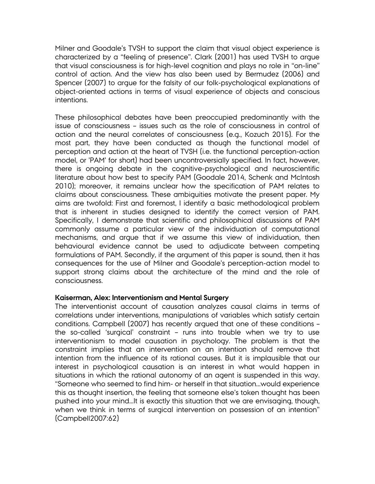Milner and Goodale's TVSH to support the claim that visual object experience is characterized by a "feeling of presence". Clark (2001) has used TVSH to argue that visual consciousness is for high-level cognition and plays no role in "on-line" control of action. And the view has also been used by Bermudez (2006) and Spencer (2007) to argue for the falsity of our folk-psychological explanations of object-oriented actions in terms of visual experience of objects and conscious intentions.

These philosophical debates have been preoccupied predominantly with the issue of consciousness – issues such as the role of consciousness in control of action and the neural correlates of consciousness (e.g., Kozuch 2015). For the most part, they have been conducted as though the functional model of perception and action at the heart of TVSH (i.e. the functional perception-action model, or 'PAM' for short) had been uncontroversially specified. In fact, however, there is ongoing debate in the cognitive-psychological and neuroscientific literature about how best to specify PAM (Goodale 2014, Schenk and McIntosh 2010); moreover, it remains unclear how the specification of PAM relates to claims about consciousness. These ambiguities motivate the present paper. My aims are twofold: First and foremost, I identify a basic methodological problem that is inherent in studies designed to identify the correct version of PAM. Specifically, I demonstrate that scientific and philosophical discussions of PAM commonly assume a particular view of the individuation of computational mechanisms, and argue that if we assume this view of individuation, then behavioural evidence cannot be used to adjudicate between competing formulations of PAM. Secondly, if the argument of this paper is sound, then it has consequences for the use of Milner and Goodale's perception-action model to support strong claims about the architecture of the mind and the role of consciousness.

#### **Kaiserman, Alex: Interventionism and Mental Surgery**

The interventionist account of causation analyzes causal claims in terms of correlations under interventions, manipulations of variables which satisfy certain conditions. Campbell (2007) has recently argued that one of these conditions – the so-called 'surgical' constraint – runs into trouble when we try to use interventionism to model causation in psychology. The problem is that the constraint implies that an intervention on an intention should remove that intention from the influence of its rational causes. But it is implausible that our interest in psychological causation is an interest in what would happen in situations in which the rational autonomy of an agent is suspended in this way. "Someone who seemed to find him- or herself in that situation...would experience this as thought insertion, the feeling that someone else's token thought has been pushed into your mind…It is exactly this situation that we are envisaging, though, when we think in terms of surgical intervention on possession of an intention" (Campbell2007:62)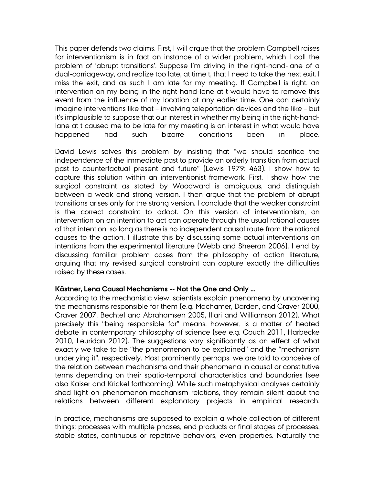This paper defends two claims. First, I will argue that the problem Campbell raises for interventionism is in fact an instance of a wider problem, which I call the problem of 'abrupt transitions'. Suppose I'm driving in the right-hand-lane of a dual-carriageway, and realize too late, at time t, that I need to take the next exit. I miss the exit, and as such I am late for my meeting. If Campbell is right, an intervention on my being in the right-hand-lane at t would have to remove this event from the influence of my location at any earlier time. One can certainly imagine interventions like that – involving teleportation devices and the like – but it's implausible to suppose that our interest in whether my being in the right-handlane at t caused me to be late for my meeting is an interest in what would have happened had such bizarre conditions been in place.

David Lewis solves this problem by insisting that "we should sacrifice the independence of the immediate past to provide an orderly transition from actual past to counterfactual present and future" (Lewis 1979: 463). I show how to capture this solution within an interventionist framework. First, I show how the surgical constraint as stated by Woodward is ambiguous, and distinguish between a weak and strong version. I then argue that the problem of abrupt transitions arises only for the strong version. I conclude that the weaker constraint is the correct constraint to adopt. On this version of interventionism, an intervention on an intention to act can operate through the usual rational causes of that intention, so long as there is no independent causal route from the rational causes to the action. I illustrate this by discussing some actual interventions on intentions from the experimental literature (Webb and Sheeran 2006). I end by discussing familiar problem cases from the philosophy of action literature, arguing that my revised surgical constraint can capture exactly the difficulties raised by these cases.

#### **Kästner, Lena Causal Mechanisms -- Not the One and Only …**

According to the mechanistic view, scientists explain phenomena by uncovering the mechanisms responsible for them (e.g. Machamer, Darden, and Craver 2000, Craver 2007, Bechtel and Abrahamsen 2005, Illari and Williamson 2012). What precisely this "being responsible for" means, however, is a matter of heated debate in contemporary philosophy of science (see e.g. Couch 2011, Harbecke 2010, Leuridan 2012). The suggestions vary significantly as an effect of what exactly we take to be "the phenomenon to be explained" and the "mechanism underlying it", respectively. Most prominently perhaps, we are told to conceive of the relation between mechanisms and their phenomena in causal or constitutive terms depending on their spatio-temporal characteristics and boundaries (see also Kaiser and Krickel forthcoming). While such metaphysical analyses certainly shed light on phenomenon-mechanism relations, they remain silent about the relations between different explanatory projects in empirical research.

In practice, mechanisms are supposed to explain a whole collection of different things: processes with multiple phases, end products or final stages of processes, stable states, continuous or repetitive behaviors, even properties. Naturally the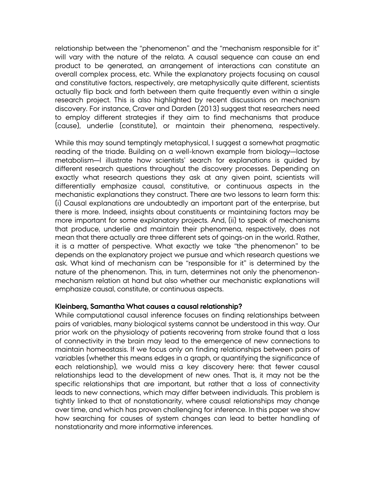relationship between the "phenomenon" and the "mechanism responsible for it" will vary with the nature of the relata. A causal sequence can cause an end product to be generated, an arrangement of interactions can constitute an overall complex process, etc. While the explanatory projects focusing on causal and constitutive factors, respectively, are metaphysically quite different, scientists actually flip back and forth between them quite frequently even within a single research project. This is also highlighted by recent discussions on mechanism discovery. For instance, Craver and Darden (2013) suggest that researchers need to employ different strategies if they aim to find mechanisms that produce (cause), underlie (constitute), or maintain their phenomena, respectively.

While this may sound temptingly metaphysical, I suggest a somewhat pragmatic reading of the triade. Building on a well-known example from biology—lactose metabolism—I illustrate how scientists' search for explanations is guided by different research questions throughout the discovery processes. Depending on exactly what research questions they ask at any given point, scientists will differentially emphasize causal, constitutive, or continuous aspects in the mechanistic explanations they construct. There are two lessons to learn form this: (i) Causal explanations are undoubtedly an important part of the enterprise, but there is more. Indeed, insights about constituents or maintaining factors may be more important for some explanatory projects. And, (ii) to speak of mechanisms that produce, underlie and maintain their phenomena, respectively, does not mean that there actually are three different sets of goings-on in the world. Rather, it is a matter of perspective. What exactly we take "the phenomenon" to be depends on the explanatory project we pursue and which research questions we ask. What kind of mechanism can be "responsible for it" is determined by the nature of the phenomenon. This, in turn, determines not only the phenomenonmechanism relation at hand but also whether our mechanistic explanations will emphasize causal, constitute, or continuous aspects.

#### **Kleinberg, Samantha What causes a causal relationship?**

While computational causal inference focuses on finding relationships between pairs of variables, many biological systems cannot be understood in this way. Our prior work on the physiology of patients recovering from stroke found that a loss of connectivity in the brain may lead to the emergence of new connections to maintain homeostasis. If we focus only on finding relationships between pairs of variables (whether this means edges in a graph, or quantifying the significance of each relationship), we would miss a key discovery here: that fewer causal relationships lead to the development of new ones. That is, it may not be the specific relationships that are important, but rather that a loss of connectivity leads to new connections, which may differ between individuals. This problem is tightly linked to that of nonstationarity, where causal relationships may change over time, and which has proven challenging for inference. In this paper we show how searching for causes of system changes can lead to better handling of nonstationarity and more informative inferences.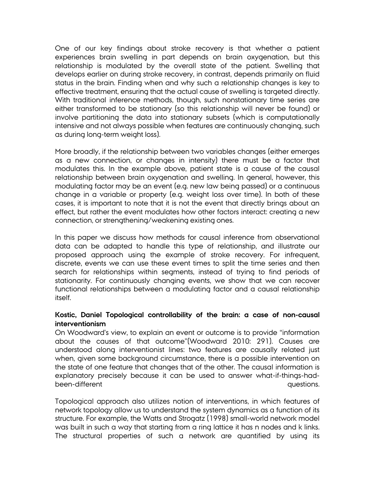One of our key findings about stroke recovery is that whether a patient experiences brain swelling in part depends on brain oxygenation, but this relationship is modulated by the overall state of the patient. Swelling that develops earlier on during stroke recovery, in contrast, depends primarily on fluid status in the brain. Finding when and why such a relationship changes is key to effective treatment, ensuring that the actual cause of swelling is targeted directly. With traditional inference methods, though, such nonstationary time series are either transformed to be stationary (so this relationship will never be found) or involve partitioning the data into stationary subsets (which is computationally intensive and not always possible when features are continuously changing, such as during long-term weight loss).

More broadly, if the relationship between two variables changes (either emerges as a new connection, or changes in intensity) there must be a factor that modulates this. In the example above, patient state is a cause of the causal relationship between brain oxygenation and swelling. In general, however, this modulating factor may be an event (e.g. new law being passed) or a continuous change in a variable or property (e.g. weight loss over time). In both of these cases, it is important to note that it is not the event that directly brings about an effect, but rather the event modulates how other factors interact: creating a new connection, or strengthening/weakening existing ones.

In this paper we discuss how methods for causal inference from observational data can be adapted to handle this type of relationship, and illustrate our proposed approach using the example of stroke recovery. For infrequent, discrete, events we can use these event times to split the time series and then search for relationships within segments, instead of trying to find periods of stationarity. For continuously changing events, we show that we can recover functional relationships between a modulating factor and a causal relationship itself.

# **Kostic, Daniel Topological controllability of the brain: a case of non-causal interventionism**

On Woodward's view, to explain an event or outcome is to provide "information about the causes of that outcome"(Woodward 2010: 291). Causes are understood along interventionist lines: two features are causally related just when, given some background circumstance, there is a possible intervention on the state of one feature that changes that of the other. The causal information is explanatory precisely because it can be used to answer what-if-things-hadbeen-different contracts and the contracts of the contracts of the contracts of the contracts of the contracts of the contracts of the contracts of the contracts of the contracts of the contracts of the contracts of the co

Topological approach also utilizes notion of interventions, in which features of network topology allow us to understand the system dynamics as a function of its structure. For example, the Watts and Strogatz (1998) small-world network model was built in such a way that starting from a ring lattice it has n nodes and k links. The structural properties of such a network are quantified by using its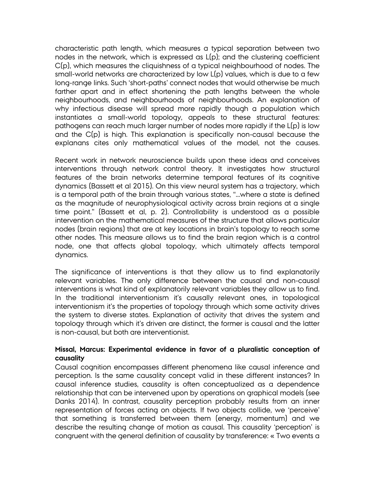characteristic path length, which measures a typical separation between two nodes in the network, which is expressed as L(p); and the clustering coefficient C(p), which measures the cliquishness of a typical neighbourhood of nodes. The small-world networks are characterized by low L(p) values, which is due to a few long-range links. Such 'short-paths' connect nodes that would otherwise be much farther apart and in effect shortening the path lengths between the whole neighbourhoods, and neighbourhoods of neighbourhoods. An explanation of why infectious disease will spread more rapidly though a population which instantiates a small-world topology, appeals to these structural features: pathogens can reach much larger number of nodes more rapidly if the L(p) is low and the C(p) is high. This explanation is specifically non-causal because the explanans cites only mathematical values of the model, not the causes.

Recent work in network neuroscience builds upon these ideas and conceives interventions through network control theory. It investigates how structural features of the brain networks determine temporal features of its cognitive dynamics (Bassett et al 2015). On this view neural system has a trajectory, which is a temporal path of the brain through various states, "…where a state is defined as the magnitude of neurophysiological activity across brain regions at a single time point." (Bassett et al, p. 2). Controllability is understood as a possible intervention on the mathematical measures of the structure that allows particular nodes (brain regions) that are at key locations in brain's topology to reach some other nodes. This measure allows us to find the brain region which is a control node, one that affects global topology, which ultimately affects temporal dynamics.

The significance of interventions is that they allow us to find explanatorily relevant variables. The only difference between the causal and non-causal interventions is what kind of explanatorily relevant variables they allow us to find. In the traditional interventionism it's causally relevant ones, in topological interventionism it's the properties of topology through which some activity drives the system to diverse states. Explanation of activity that drives the system and topology through which it's driven are distinct, the former is causal and the latter is non-causal, but both are interventionist.

## **Missal, Marcus: Experimental evidence in favor of a pluralistic conception of causality**

Causal cognition encompasses different phenomena like causal inference and perception. Is the same causality concept valid in these different instances? In causal inference studies, causality is often conceptualized as a dependence relationship that can be intervened upon by operations on graphical models (see Danks 2014). In contrast, causality perception probably results from an inner representation of forces acting on objects. If two objects collide, we 'perceive' that something is transferred between them (energy, momentum) and we describe the resulting change of motion as causal. This causality 'perception' is congruent with the general definition of causality by transference: « Two events a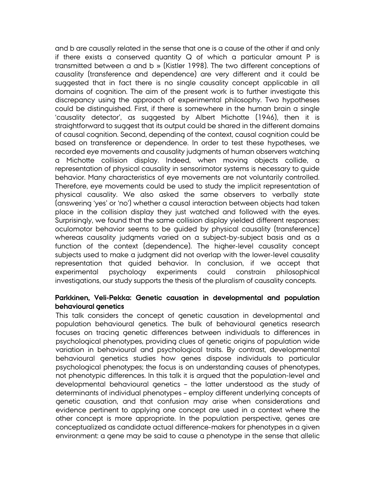and b are causally related in the sense that one is a cause of the other if and only if there exists a conserved quantity  $Q$  of which a particular amount P is transmitted between a and b » (Kistler 1998). The two different conceptions of causality (transference and dependence) are very different and it could be suggested that in fact there is no single causality concept applicable in all domains of cognition. The aim of the present work is to further investigate this discrepancy using the approach of experimental philosophy. Two hypotheses could be distinguished. First, if there is somewhere in the human brain a single 'causality detector', as suggested by Albert Michotte (1946), then it is straightforward to suggest that its output could be shared in the different domains of causal cognition. Second, depending of the context, causal cognition could be based on transference or dependence. In order to test these hypotheses, we recorded eye movements and causality judgments of human observers watching a Michotte collision display. Indeed, when moving objects collide, a representation of physical causality in sensorimotor systems is necessary to guide behavior. Many characteristics of eye movements are not voluntarily controlled. Therefore, eye movements could be used to study the implicit representation of physical causality. We also asked the same observers to verbally state (answering 'yes' or 'no') whether a causal interaction between objects had taken place in the collision display they just watched and followed with the eyes. Surprisingly, we found that the same collision display yielded different responses: oculomotor behavior seems to be guided by physical causality (transference) whereas causality judgments varied on a subject-by-subject basis and as a function of the context (dependence). The higher-level causality concept subjects used to make a judgment did not overlap with the lower-level causality representation that guided behavior. In conclusion, if we accept that experimental psychology experiments could constrain philosophical investigations, our study supports the thesis of the pluralism of causality concepts.

#### **Parkkinen, Veli-Pekka: Genetic causation in developmental and population behavioural genetics**

This talk considers the concept of genetic causation in developmental and population behavioural genetics. The bulk of behavioural genetics research focuses on tracing genetic differences between individuals to differences in psychological phenotypes, providing clues of genetic origins of population wide variation in behavioural and psychological traits. By contrast, developmental behavioural genetics studies how genes dispose individuals to particular psychological phenotypes; the focus is on understanding causes of phenotypes, not phenotypic differences. In this talk it is argued that the population-level and developmental behavioural genetics – the latter understood as the study of determinants of individual phenotypes – employ different underlying concepts of genetic causation, and that confusion may arise when considerations and evidence pertinent to applying one concept are used in a context where the other concept is more appropriate. In the population perspective, genes are conceptualized as candidate actual difference-makers for phenotypes in a given environment: a gene may be said to cause a phenotype in the sense that allelic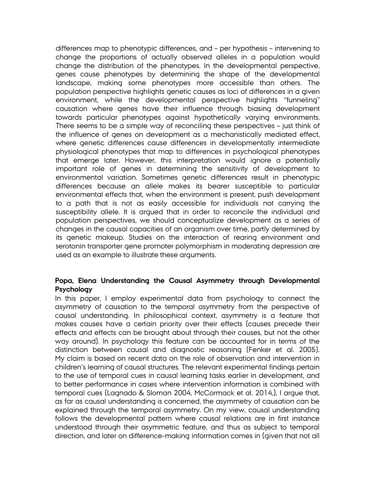differences map to phenotypic differences, and – per hypothesis – intervening to change the proportions of actually observed alleles in a population would change the distribution of the phenotypes. In the developmental perspective, genes cause phenotypes by determining the shape of the developmental landscape, making some phenotypes more accessible than others. The population perspective highlights genetic causes as loci of differences in a given environment, while the developmental perspective highlights "funneling" causation where genes have their influence through biasing development towards particular phenotypes against hypothetically varying environments. There seems to be a simple way of reconciling these perspectives – just think of the influence of genes on development as a mechanistically mediated effect, where genetic differences cause differences in developmentally intermediate physiological phenotypes that map to differences in psychological phenotypes that emerge later. However, this interpretation would ignore a potentially important role of genes in determining the sensitivity of development to environmental variation. Sometimes genetic differences result in phenotypic differences because an allele makes its bearer susceptible to particular environmental effects that, when the environment is present, push development to a path that is not as easily accessible for individuals not carrying the susceptibility allele. It is argued that in order to reconcile the individual and population perspectives, we should conceptualize development as a series of changes in the causal capacities of an organism over time, partly determined by its genetic makeup. Studies on the interaction of rearing environment and serotonin transporter gene promoter polymorphism in moderating depression are used as an example to illustrate these arguments.

# **Popa, Elena Understanding the Causal Asymmetry through Developmental Psychology**

In this paper, I employ experimental data from psychology to connect the asymmetry of causation to the temporal asymmetry from the perspective of causal understanding. In philosophical context, asymmetry is a feature that makes causes have a certain priority over their effects (causes precede their effects and effects can be brought about through their causes, but not the other way around). In psychology this feature can be accounted for in terms of the distinction between causal and diagnostic reasoning (Fenker et al. 2005). My claim is based on recent data on the role of observation and intervention in children's learning of causal structures. The relevant experimental findings pertain to the use of temporal cues in causal learning tasks earlier in development, and to better performance in cases where intervention information is combined with temporal cues (Lagnado & Sloman 2004, McCormack et al. 2014,), I argue that, as far as causal understanding is concerned, the asymmetry of causation can be explained through the temporal asymmetry. On my view, causal understanding follows the developmental pattern where causal relations are in first instance understood through their asymmetric feature, and thus as subject to temporal direction, and later on difference-making information comes in (given that not all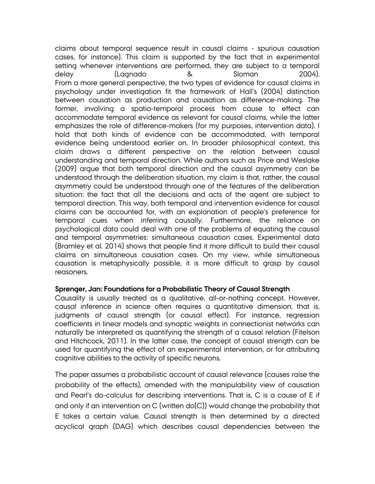claims about temporal sequence result in causal claims - spurious causation cases, for instance). This claim is supported by the fact that in experimental setting whenever interventions are performed, they are subject to a temporal delay (Lagnado & Sloman 2004). From a more general perspective, the two types of evidence for causal claims in psychology under investigation fit the framework of Hall's (2004) distinction between causation as production and causation as difference-making. The former, involving a spatio-temporal process from cause to effect can accommodate temporal evidence as relevant for causal claims, while the latter emphasizes the role of difference-makers (for my purposes, intervention data). I hold that both kinds of evidence can be accommodated, with temporal evidence being understood earlier on. In broader philosophical context, this claim draws a different perspective on the relation between causal understanding and temporal direction. While authors such as Price and Weslake (2009) argue that both temporal direction and the causal asymmetry can be understood through the deliberation situation, my claim is that, rather, the causal asymmetry could be understood through one of the features of the deliberation situation: the fact that all the decisions and acts of the agent are subject to temporal direction. This way, both temporal and intervention evidence for causal claims can be accounted for, with an explanation of people's preference for temporal cues when inferring causally. Furthermore, the reliance on psychological data could deal with one of the problems of equating the causal and temporal asymmetries: simultaneous causation cases. Experimental data (Bramley et al. 2014) shows that people find it more difficult to build their causal claims on simultaneous causation cases. On my view, while simultaneous causation is metaphysically possible, it is more difficult to grasp by causal reasoners.

## **Sprenger, Jan: Foundations for a Probabilistic Theory of Causal Strength**

Causality is usually treated as a qualitative, all-or-nothing concept. However, causal inference in science often requires a quantitative dimension, that is, judgments of causal strength (or causal effect). For instance, regression coefficients in linear models and synaptic weights in connectionist networks can naturally be interpreted as quantifying the strength of a causal relation (Fitelson and Hitchcock, 2011). In the latter case, the concept of causal strength can be used for quantifying the effect of an experimental intervention, or for attributing cognitive abilities to the activity of specific neurons.

The paper assumes a probabilistic account of causal relevance (causes raise the probability of the effects), amended with the manipulability view of causation and Pearl's do-calculus for describing interventions. That is, C is a cause of E if and only if an intervention on C (written do(C)) would change the probability that E takes a certain value. Causal strength is then determined by a directed acyclical graph (DAG) which describes causal dependencies between the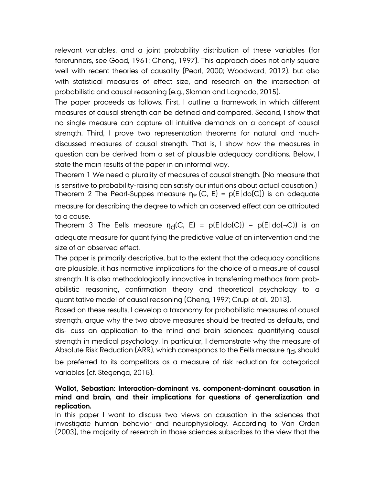relevant variables, and a joint probability distribution of these variables (for forerunners, see Good, 1961; Cheng, 1997). This approach does not only square well with recent theories of causality (Pearl, 2000; Woodward, 2012), but also with statistical measures of effect size, and research on the intersection of probabilistic and causal reasoning (e.g., Sloman and Lagnado, 2015).

The paper proceeds as follows. First, I outline a framework in which different measures of causal strength can be defined and compared. Second, I show that no single measure can capture all intuitive demands on a concept of causal strength. Third, I prove two representation theorems for natural and muchdiscussed measures of causal strength. That is, I show how the measures in question can be derived from a set of plausible adequacy conditions. Below, I state the main results of the paper in an informal way.

Theorem 1 We need a plurality of measures of causal strength. (No measure that is sensitive to probability-raising can satisfy our intuitions about actual causation.) Theorem 2 The Pearl-Suppes measure  $\eta_*(C, E) = p(E|do(C))$  is an adequate measure for describing the degree to which an observed effect can be attributed

to a cause.

Theorem 3 The Eells measure  $\eta_d(C, E) = p(E|do(C)) - p(E|do(-C))$  is an adequate measure for quantifying the predictive value of an intervention and the size of an observed effect.

The paper is primarily descriptive, but to the extent that the adequacy conditions are plausible, it has normative implications for the choice of a measure of causal strength. It is also methodologically innovative in transferring methods from probabilistic reasoning, confirmation theory and theoretical psychology to a quantitative model of causal reasoning (Cheng, 1997; Crupi et al., 2013).

Based on these results, I develop a taxonomy for probabilistic measures of causal strength, argue why the two above measures should be treated as defaults, and dis- cuss an application to the mind and brain sciences: quantifying causal strength in medical psychology. In particular, I demonstrate why the measure of Absolute Risk Reduction (ARR), which corresponds to the Eells measure  $\eta_{cl}$ , should

be preferred to its competitors as a measure of risk reduction for categorical variables (cf. Stegenga, 2015).

# **Wallot, Sebastian: Interaction-dominant vs. component-dominant causation in mind and brain, and their implications for questions of generalization and replication.**

In this paper I want to discuss two views on causation in the sciences that investigate human behavior and neurophysiology. According to Van Orden (2003), the majority of research in those sciences subscribes to the view that the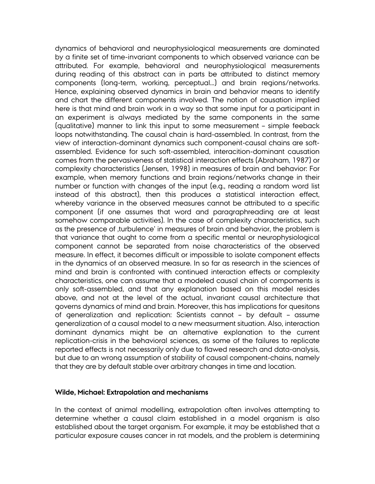dynamics of behavioral and neurophysiological measurements are dominated by a finite set of time-invariant components to which observed variance can be attributed. For example, behavioral and neurophysiological measurements during reading of this abstract can in parts be attributed to distinct memory components (long-term, working, perceptual...) and brain regions/networks. Hence, explaining observed dynamics in brain and behavior means to identify and chart the different components involved. The notion of causation implied here is that mind and brain work in a way so that some input for a participant in an experiment is always mediated by the same components in the same (qualitative) manner to link this input to some measurement – simple feeback loops notwithstanding. The causal chain is hard-assembled. In contrast, from the view of interaction-dominant dynamics such component-causal chains are softassembled. Evidence for such soft-assembled, interacition-dominant causation comes from the pervasiveness of statistical interaction effects (Abraham, 1987) or complexity characteristics (Jensen, 1998) in measures of brain and behavior: For example, when memory functions and brain regions/networks change in their number or function with changes of the input (e.g., reading a random word list instead of this abstract), then this produces a statistical interaction effect, whereby variance in the observed measures cannot be attributed to a specific component (if one assumes that word and paragraphreading are at least somehow comparable activities). In the case of complexity characteristics, such as the presence of turbulence' in measures of brain and behavior, the problem is that variance that ought to come from a specific mental or neurophysiological component cannot be separated from noise characteristics of the observed measure. In effect, it becomes difficult or impossible to isolate component effects in the dynamics of an observed measure. In so far as research in the sciences of mind and brain is confronted with continued interaction effects or complexity characteristics, one can assume that a modeled causal chain of compoments is only soft-assembled, and that any explanation based on this model resides above, and not at the level of the actual, invariant causal architecture that governs dynamics of mind and brain. Moreover, this has implications for quesitons of generalization and replication: Scientists cannot – by default – assume generalization of a causal model to a new measurment situation. Also, interaction dominant dynamics might be an alternative explanation to the current replication-crisis in the behavioral sciences, as some of the failures to replicate reported effects is not necessarily only due to flawed research and data-analysis, but due to an wrong assumption of stability of causal component-chains, namely that they are by default stable over arbitrary changes in time and location.

#### **Wilde, Michael: Extrapolation and mechanisms**

In the context of animal modelling, extrapolation often involves attempting to determine whether a causal claim established in a model organism is also established about the target organism. For example, it may be established that a particular exposure causes cancer in rat models, and the problem is determining